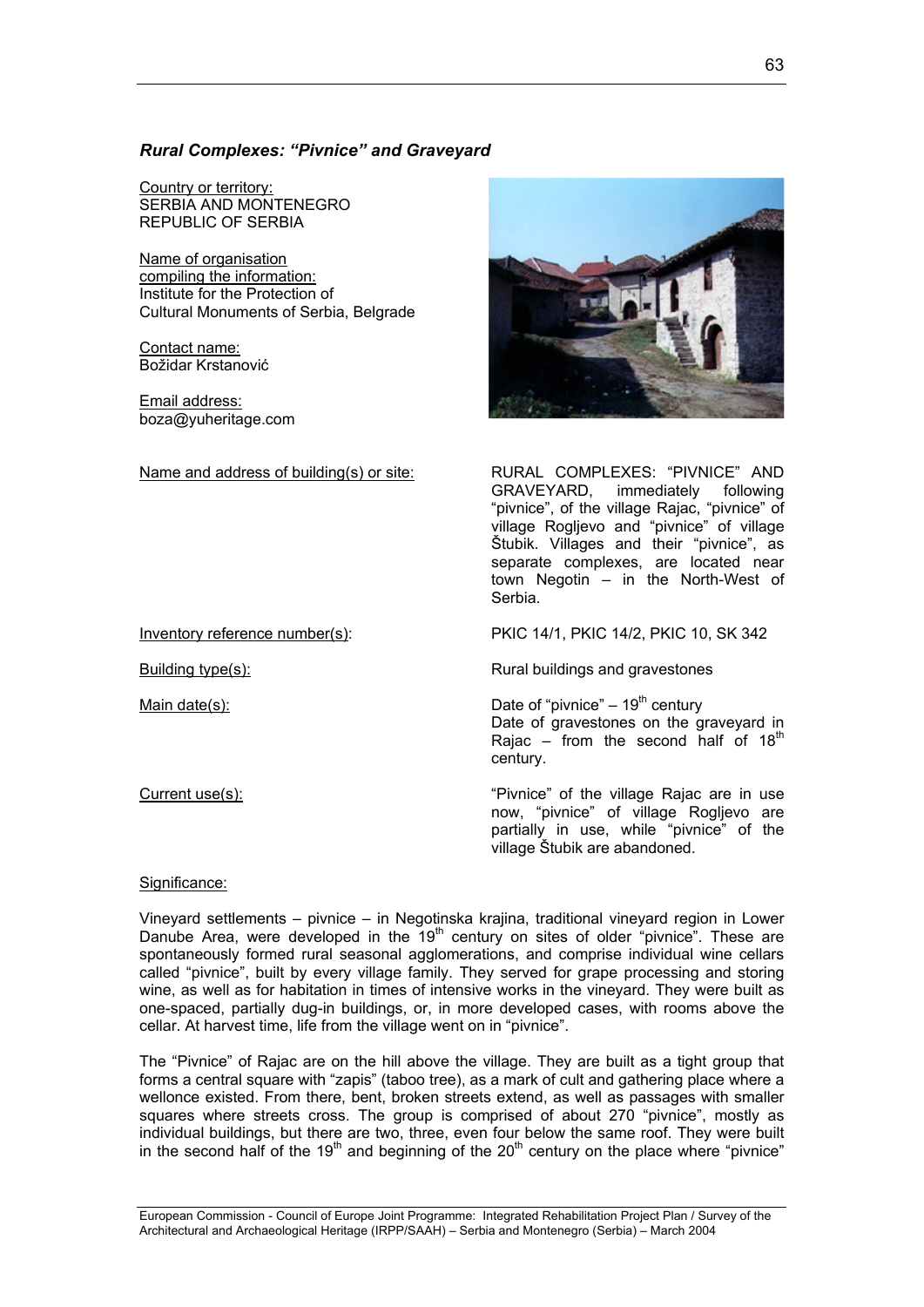# *Rural Complexes: "Pivnice" and Graveyard*

Country or territory: SERBIA AND MONTENEGRO REPUBLIC OF SERBIA

Name of organisation compiling the information: Institute for the Protection of Cultural Monuments of Serbia, Belgrade

Contact name: Božidar Krstanović

Email address: boza@yuheritage.com

Name and address of building(s) or site: RURAL COMPLEXES: "PIVNICE" AND

GRAVEYARD, immediately following "pivnice", of the village Rajac, "pivnice" of village Rogljevo and "pivnice" of village Štubik. Villages and their "pivnice", as separate complexes, are located near town Negotin – in the North-West of Serbia.

Inventory reference number(s): PKIC 14/1, PKIC 14/2, PKIC 10, SK 342

Building type(s): Rural buildings and gravestones

Main date(s):  $\blacksquare$  Date of "pivnice" – 19<sup>th</sup> century Date of gravestones on the graveyard in Rajac – from the second half of  $18<sup>th</sup>$ century.

Current use(s): "Pivnice" of the village Rajac are in use now, "pivnice" of village Rogljevo are partially in use, while "pivnice" of the village Štubik are abandoned.

# Significance:

Vineyard settlements – pivnice – in Negotinska krajina, traditional vineyard region in Lower Danube Area, were developed in the  $19<sup>th</sup>$  century on sites of older "pivnice". These are spontaneously formed rural seasonal agglomerations, and comprise individual wine cellars called "pivnice", built by every village family. They served for grape processing and storing wine, as well as for habitation in times of intensive works in the vineyard. They were built as one-spaced, partially dug-in buildings, or, in more developed cases, with rooms above the cellar. At harvest time, life from the village went on in "pivnice".

The "Pivnice" of Rajac are on the hill above the village. They are built as a tight group that forms a central square with "zapis" (taboo tree), as a mark of cult and gathering place where a wellonce existed. From there, bent, broken streets extend, as well as passages with smaller squares where streets cross. The group is comprised of about 270 "pivnice", mostly as individual buildings, but there are two, three, even four below the same roof. They were built in the second half of the 19<sup>th</sup> and beginning of the 20<sup>th</sup> century on the place where "pivnice"

European Commission - Council of Europe Joint Programme: Integrated Rehabilitation Project Plan / Survey of the Architectural and Archaeological Heritage (IRPP/SAAH) – Serbia and Montenegro (Serbia) – March 2004

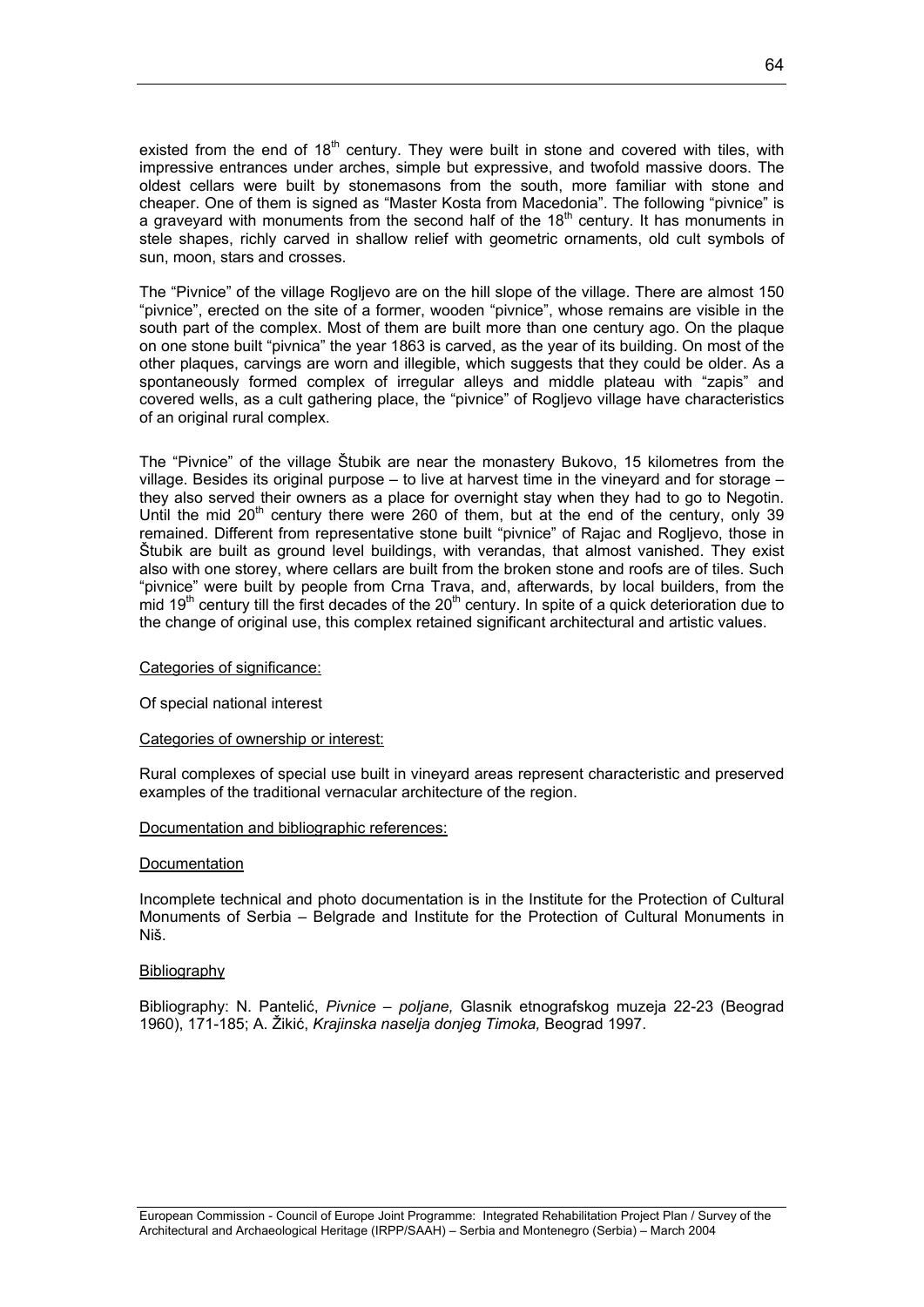existed from the end of  $18<sup>th</sup>$  century. They were built in stone and covered with tiles, with impressive entrances under arches, simple but expressive, and twofold massive doors. The oldest cellars were built by stonemasons from the south, more familiar with stone and cheaper. One of them is signed as "Master Kosta from Macedonia". The following "pivnice" is a graveyard with monuments from the second half of the  $18<sup>th</sup>$  century. It has monuments in stele shapes, richly carved in shallow relief with geometric ornaments, old cult symbols of sun, moon, stars and crosses.

The "Pivnice" of the village Rogljevo are on the hill slope of the village. There are almost 150 "pivnice", erected on the site of a former, wooden "pivnice", whose remains are visible in the south part of the complex. Most of them are built more than one century ago. On the plaque on one stone built "pivnica" the year 1863 is carved, as the year of its building. On most of the other plaques, carvings are worn and illegible, which suggests that they could be older. As a spontaneously formed complex of irregular alleys and middle plateau with "zapis" and covered wells, as a cult gathering place, the "pivnice" of Rogljevo village have characteristics of an original rural complex.

The "Pivnice" of the village Štubik are near the monastery Bukovo, 15 kilometres from the village. Besides its original purpose – to live at harvest time in the vineyard and for storage – they also served their owners as a place for overnight stay when they had to go to Negotin. Until the mid  $20<sup>th</sup>$  century there were 260 of them, but at the end of the century, only 39 remained. Different from representative stone built "pivnice" of Rajac and Rogljevo, those in Štubik are built as ground level buildings, with verandas, that almost vanished. They exist also with one storey, where cellars are built from the broken stone and roofs are of tiles. Such "pivnice" were built by people from Crna Trava, and, afterwards, by local builders, from the mid 19<sup>th</sup> century till the first decades of the 20<sup>th</sup> century. In spite of a quick deterioration due to the change of original use, this complex retained significant architectural and artistic values.

### Categories of significance:

Of special national interest

### Categories of ownership or interest:

Rural complexes of special use built in vineyard areas represent characteristic and preserved examples of the traditional vernacular architecture of the region.

### Documentation and bibliographic references:

#### **Documentation**

Incomplete technical and photo documentation is in the Institute for the Protection of Cultural Monuments of Serbia – Belgrade and Institute for the Protection of Cultural Monuments in Niš.

### Bibliography

Bibliography: N. Pantelić, *Pivnice – poljane,* Glasnik etnografskog muzeja 22-23 (Beograd 1960), 171-185; A. Žikić, *Krajinska naselja donjeg Timoka,* Beograd 1997.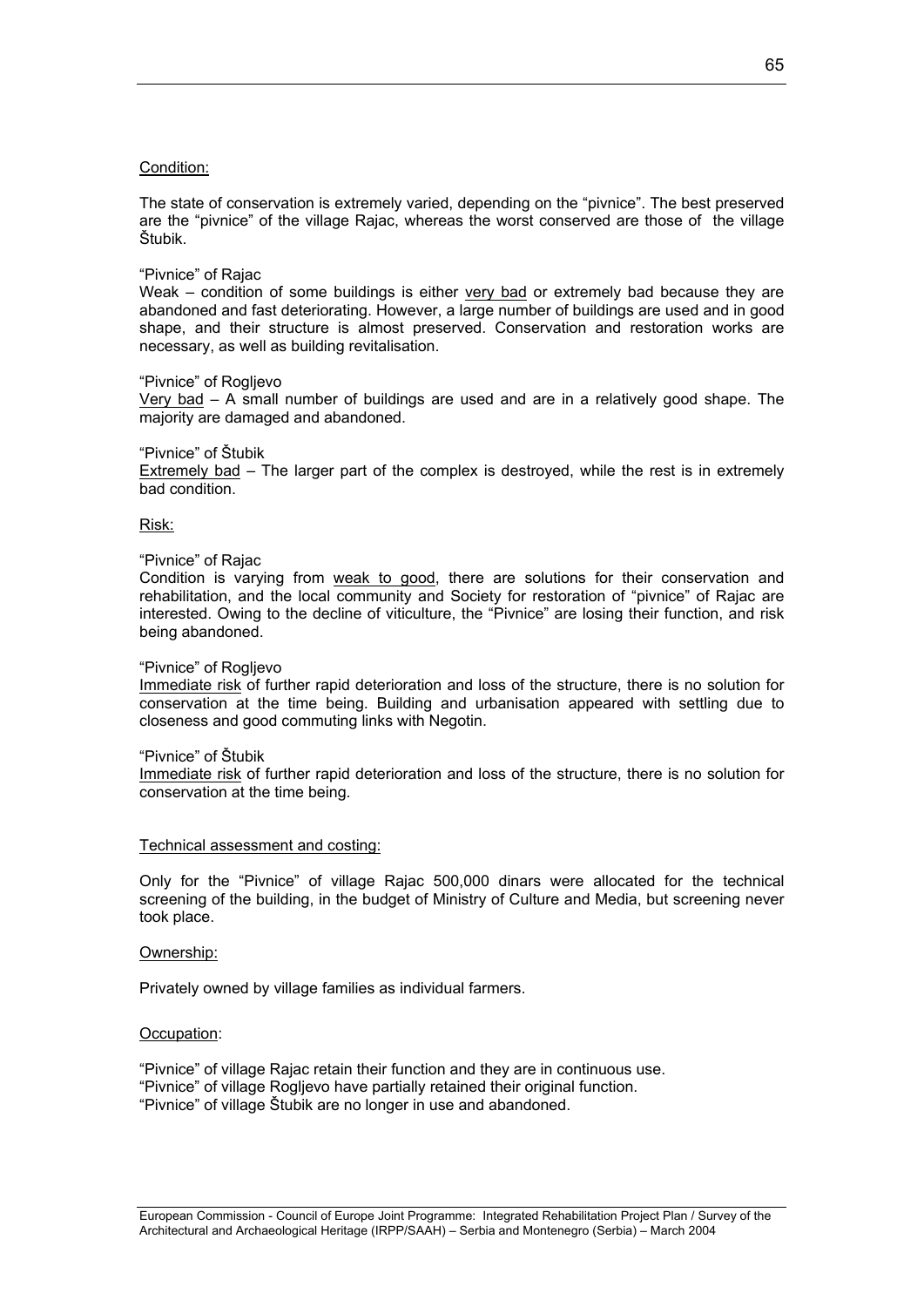# Condition:

The state of conservation is extremely varied, depending on the "pivnice". The best preserved are the "pivnice" of the village Rajac, whereas the worst conserved are those of the village Štubik.

### "Pivnice" of Rajac

Weak – condition of some buildings is either very bad or extremely bad because they are abandoned and fast deteriorating. However, a large number of buildings are used and in good shape, and their structure is almost preserved. Conservation and restoration works are necessary, as well as building revitalisation.

### "Pivnice" of Rogljevo

Very bad – A small number of buildings are used and are in a relatively good shape. The majority are damaged and abandoned.

### "Pivnice" of Štubik

Extremely bad – The larger part of the complex is destroyed, while the rest is in extremely bad condition.

### Risk:

### "Pivnice" of Rajac

Condition is varying from weak to good, there are solutions for their conservation and rehabilitation, and the local community and Society for restoration of "pivnice" of Rajac are interested. Owing to the decline of viticulture, the "Pivnice" are losing their function, and risk being abandoned.

### "Pivnice" of Rogljevo

Immediate risk of further rapid deterioration and loss of the structure, there is no solution for conservation at the time being. Building and urbanisation appeared with settling due to closeness and good commuting links with Negotin.

### "Pivnice" of Štubik

Immediate risk of further rapid deterioration and loss of the structure, there is no solution for conservation at the time being.

# Technical assessment and costing:

Only for the "Pivnice" of village Rajac 500,000 dinars were allocated for the technical screening of the building, in the budget of Ministry of Culture and Media, but screening never took place.

### Ownership:

Privately owned by village families as individual farmers.

### Occupation:

"Pivnice" of village Rajac retain their function and they are in continuous use. "Pivnice" of village Rogljevo have partially retained their original function. "Pivnice" of village Štubik are no longer in use and abandoned.